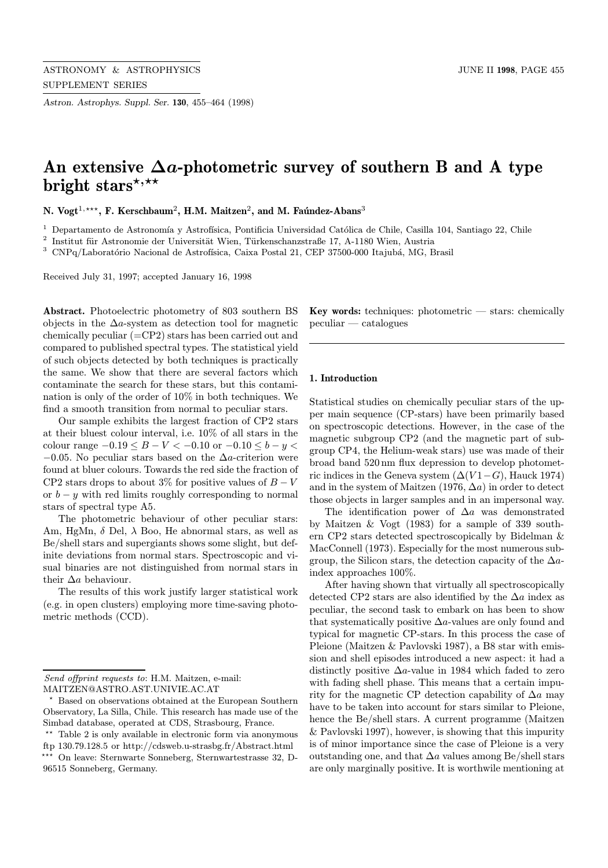Astron. Astrophys. Suppl. Ser. 130, 455–464 (1998)

# An extensive  $\Delta a$ -photometric survey of southern B and A type bright stars\*,\*\*

N. Vogt<sup>1,\*\*\*</sup>, F. Kerschbaum<sup>2</sup>, H.M. Maitzen<sup>2</sup>, and M. Faúndez-Abans<sup>3</sup>

 $1$  Departamento de Astronomía y Astrofísica, Pontificia Universidad Católica de Chile, Casilla 104, Santiago 22, Chile

 $^{\rm 2}$ Institut für Astronomie der Universität Wien, Türkenschanzstraße 17, A-1180 Wien, Austria

 $^3$  CNPq/Laboratório Nacional de Astrofísica, Caixa Postal 21, CEP 37500-000 Itajubá, MG, Brasil

Received July 31, 1997; accepted January 16, 1998

Abstract. Photoelectric photometry of 803 southern BS objects in the  $\Delta a$ -system as detection tool for magnetic chemically peculiar (=CP2) stars has been carried out and compared to published spectral types. The statistical yield of such objects detected by both techniques is practically the same. We show that there are several factors which contaminate the search for these stars, but this contamination is only of the order of 10% in both techniques. We find a smooth transition from normal to peculiar stars.

Our sample exhibits the largest fraction of CP2 stars at their bluest colour interval, i.e. 10% of all stars in the colour range  $-0.19 \le B - V < -0.10$  or  $-0.10 \le b - y <$  $-0.05$ . No peculiar stars based on the  $\Delta a$ -criterion were found at bluer colours. Towards the red side the fraction of CP2 stars drops to about 3% for positive values of  $B-V$ or  $b - y$  with red limits roughly corresponding to normal stars of spectral type A5.

The photometric behaviour of other peculiar stars: Am, HgMn,  $\delta$  Del,  $\lambda$  Boo, He abnormal stars, as well as Be/shell stars and supergiants shows some slight, but definite deviations from normal stars. Spectroscopic and visual binaries are not distinguished from normal stars in their  $\Delta a$  behaviour.

The results of this work justify larger statistical work (e.g. in open clusters) employing more time-saving photometric methods (CCD).

**Key words:** techniques: photometric  $-$  stars: chemically peculiar — catalogues

# 1. Introduction

Statistical studies on chemically peculiar stars of the upper main sequence (CP-stars) have been primarily based on spectroscopic detections. However, in the case of the magnetic subgroup CP2 (and the magnetic part of subgroup CP4, the Helium-weak stars) use was made of their broad band 520 nm flux depression to develop photometric indices in the Geneva system  $(\Delta(V1-G), \text{Hauck } 1974)$ and in the system of Maitzen (1976,  $\Delta a$ ) in order to detect those objects in larger samples and in an impersonal way.

The identification power of  $\Delta a$  was demonstrated by Maitzen & Vogt (1983) for a sample of 339 southern CP2 stars detected spectroscopically by Bidelman & MacConnell (1973). Especially for the most numerous subgroup, the Silicon stars, the detection capacity of the  $\Delta a$ index approaches 100%.

After having shown that virtually all spectroscopically detected CP2 stars are also identified by the  $\Delta a$  index as peculiar, the second task to embark on has been to show that systematically positive  $\Delta a$ -values are only found and typical for magnetic CP-stars. In this process the case of Pleione (Maitzen & Pavlovski 1987), a B8 star with emission and shell episodes introduced a new aspect: it had a distinctly positive  $\Delta a$ -value in 1984 which faded to zero with fading shell phase. This means that a certain impurity for the magnetic CP detection capability of  $\Delta a$  may have to be taken into account for stars similar to Pleione, hence the Be/shell stars. A current programme (Maitzen & Pavlovski 1997), however, is showing that this impurity is of minor importance since the case of Pleione is a very outstanding one, and that ∆a values among Be/shell stars are only marginally positive. It is worthwile mentioning at

Send offprint requests to: H.M. Maitzen, e-mail: MAITZEN@ASTRO.AST.UNIVIE.AC.AT

<sup>?</sup> Based on observations obtained at the European Southern Observatory, La Silla, Chile. This research has made use of the Simbad database, operated at CDS, Strasbourg, France.

<sup>\*\*</sup> Table 2 is only available in electronic form via anonymous ftp 130.79.128.5 or http://cdsweb.u-strasbg.fr/Abstract.html ??? On leave: Sternwarte Sonneberg, Sternwartestrasse 32, D-96515 Sonneberg, Germany.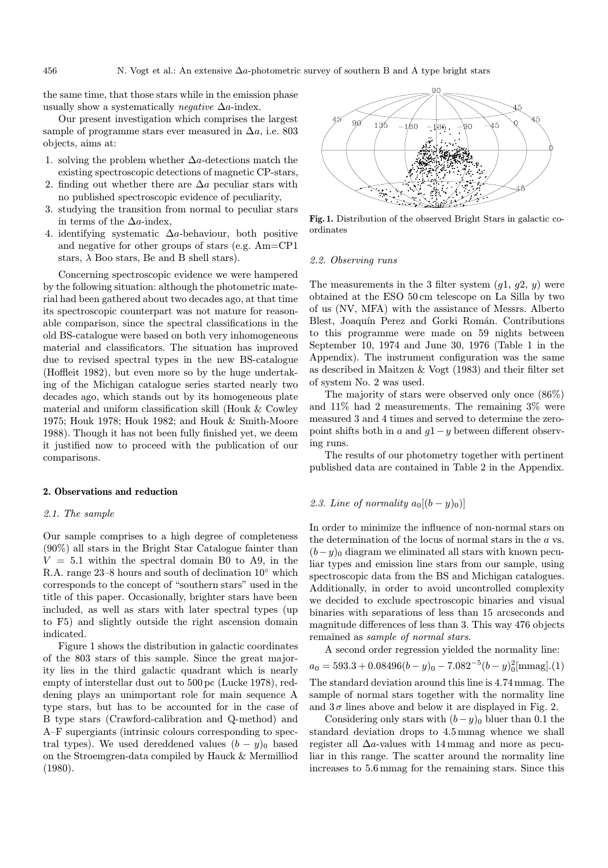N. Vogt et al.: An extensive  $\Delta a$ -photometric survey of southern B and A type bright stars

the same time, that those stars while in the emission phase usually show a systematically *negative*  $\Delta a$ -index.

Our present investigation which comprises the largest sample of programme stars ever measured in  $\Delta a$ , i.e. 803 objects, aims at:

- 1. solving the problem whether ∆a-detections match the existing spectroscopic detections of magnetic CP-stars,
- 2. finding out whether there are  $\Delta a$  peculiar stars with no published spectroscopic evidence of peculiarity,
- 3. studying the transition from normal to peculiar stars in terms of the  $\Delta a$ -index,
- 4. identifying systematic  $\Delta a$ -behaviour, both positive and negative for other groups of stars (e.g. Am=CP1 stars,  $\lambda$  Boo stars, Be and B shell stars).

Concerning spectroscopic evidence we were hampered by the following situation: although the photometric material had been gathered about two decades ago, at that time its spectroscopic counterpart was not mature for reasonable comparison, since the spectral classifications in the old BS-catalogue were based on both very inhomogeneous material and classificators. The situation has improved due to revised spectral types in the new BS-catalogue (Hoffleit 1982), but even more so by the huge undertaking of the Michigan catalogue series started nearly two decades ago, which stands out by its homogeneous plate material and uniform classification skill (Houk & Cowley 1975; Houk 1978; Houk 1982; and Houk & Smith-Moore 1988). Though it has not been fully finished yet, we deem it justified now to proceed with the publication of our comparisons.

# 2. Observations and reduction

#### 2.1. The sample

Our sample comprises to a high degree of completeness (90%) all stars in the Bright Star Catalogue fainter than  $V = 5.1$  within the spectral domain B0 to A9, in the R.A. range 23–8 hours and south of declination 10◦ which corresponds to the concept of "southern stars" used in the title of this paper. Occasionally, brighter stars have been included, as well as stars with later spectral types (up to F5) and slightly outside the right ascension domain indicated.

Figure 1 shows the distribution in galactic coordinates of the 803 stars of this sample. Since the great majority lies in the third galactic quadrant which is nearly empty of interstellar dust out to 500 pc (Lucke 1978), reddening plays an unimportant role for main sequence A type stars, but has to be accounted for in the case of B type stars (Crawford-calibration and Q-method) and A–F supergiants (intrinsic colours corresponding to spectral types). We used dereddened values  $(b - y)_0$  based on the Stroemgren-data compiled by Hauck & Mermilliod (1980).



Fig. 1. Distribution of the observed Bright Stars in galactic coordinates

# 2.2. Observing runs

The measurements in the 3 filter system  $(q1, q2, y)$  were obtained at the ESO 50 cm telescope on La Silla by two of us (NV, MFA) with the assistance of Messrs. Alberto Blest, Joaquín Perez and Gorki Román. Contributions to this programme were made on 59 nights between September 10, 1974 and June 30, 1976 (Table 1 in the Appendix). The instrument configuration was the same as described in Maitzen & Vogt (1983) and their filter set of system No. 2 was used.

The majority of stars were observed only once (86%) and 11% had 2 measurements. The remaining 3% were measured 3 and 4 times and served to determine the zeropoint shifts both in a and  $q1-q$  between different observing runs.

The results of our photometry together with pertinent published data are contained in Table 2 in the Appendix.

# 2.3. Line of normality  $a_0[(b-y)_0]$

In order to minimize the influence of non-normal stars on the determination of the locus of normal stars in the a vs.  $(b-y)_0$  diagram we eliminated all stars with known peculiar types and emission line stars from our sample, using spectroscopic data from the BS and Michigan catalogues. Additionally, in order to avoid uncontrolled complexity we decided to exclude spectroscopic binaries and visual binaries with separations of less than 15 arcseconds and magnitude differences of less than 3. This way 476 objects remained as sample of normal stars.

A second order regression yielded the normality line:  $a_0 = 593.3 + 0.08496(b - y)_0 - 7.082^{-5}(b - y)_0^{2}$ [mmag].(1) The standard deviation around this line is 4.74 mmag. The sample of normal stars together with the normality line and  $3\sigma$  lines above and below it are displayed in Fig. 2.

Considering only stars with  $(b-y)_0$  bluer than 0.1 the standard deviation drops to 4.5 mmag whence we shall register all  $\Delta a$ -values with 14 mmag and more as peculiar in this range. The scatter around the normality line increases to 5.6 mmag for the remaining stars. Since this

$$
456\,
$$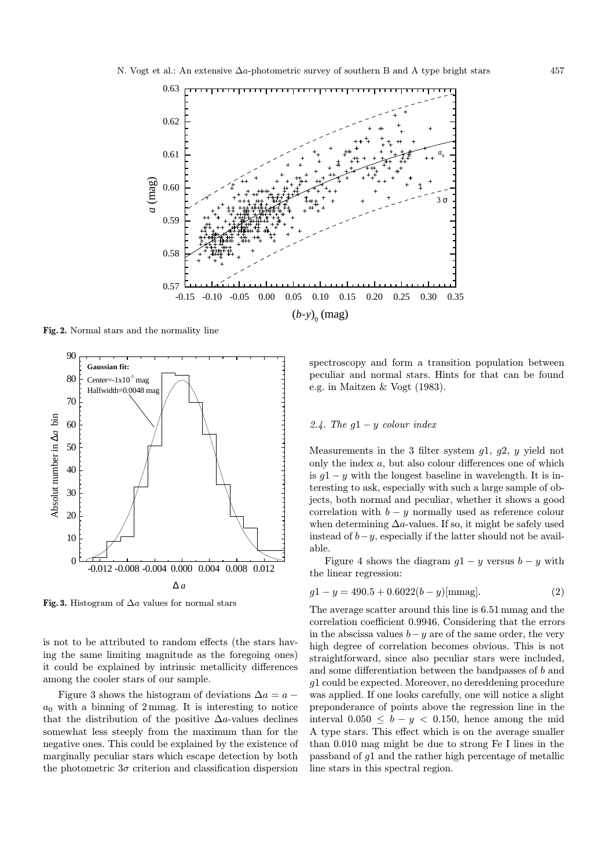

Fig. 2. Normal stars and the normality line



Fig. 3. Histogram of  $\Delta a$  values for normal stars

is not to be attributed to random effects (the stars having the same limiting magnitude as the foregoing ones) it could be explained by intrinsic metallicity differences among the cooler stars of our sample.

Figure 3 shows the histogram of deviations  $\Delta a = a$  $a_0$  with a binning of 2 mmag. It is interesting to notice that the distribution of the positive  $\Delta a$ -values declines somewhat less steeply from the maximum than for the negative ones. This could be explained by the existence of marginally peculiar stars which escape detection by both the photometric  $3\sigma$  criterion and classification dispersion

spectroscopy and form a transition population between peculiar and normal stars. Hints for that can be found e.g. in Maitzen & Vogt (1983).

#### 2.4. The  $q1 - y$  colour index

Measurements in the 3 filter system  $q_1$ ,  $q_2$ ,  $y$  yield not only the index a, but also colour differences one of which is  $q1 - y$  with the longest baseline in wavelength. It is interesting to ask, especially with such a large sample of objects, both normal and peculiar, whether it shows a good correlation with  $b - y$  normally used as reference colour when determining  $\Delta a$ -values. If so, it might be safely used instead of  $b-y$ , especially if the latter should not be available.

Figure 4 shows the diagram  $q1 - y$  versus  $b - y$  with the linear regression:

$$
g1 - y = 490.5 + 0.6022(b - y) \text{[mmag]}.
$$
 (2)

The average scatter around this line is 6.51 mmag and the correlation coefficient 0.9946. Considering that the errors in the abscissa values  $b-y$  are of the same order, the very high degree of correlation becomes obvious. This is not straightforward, since also peculiar stars were included, and some differentiation between the bandpasses of b and g1 could be expected. Moreover, no dereddening procedure was applied. If one looks carefully, one will notice a slight preponderance of points above the regression line in the interval  $0.050 \leq b - y < 0.150$ , hence among the mid A type stars. This effect which is on the average smaller than 0.010 mag might be due to strong Fe I lines in the passband of g1 and the rather high percentage of metallic line stars in this spectral region.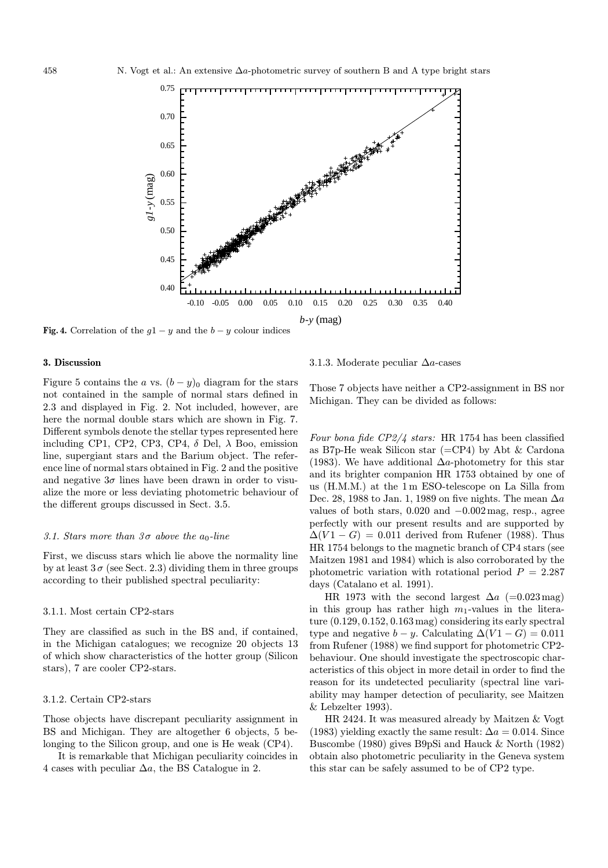

Fig. 4. Correlation of the  $g1 - y$  and the  $b - y$  colour indices

### 3. Discussion

Figure 5 contains the a vs.  $(b - y)_0$  diagram for the stars not contained in the sample of normal stars defined in 2.3 and displayed in Fig. 2. Not included, however, are here the normal double stars which are shown in Fig. 7. Different symbols denote the stellar types represented here including CP1, CP2, CP3, CP4,  $\delta$  Del,  $\lambda$  Boo, emission line, supergiant stars and the Barium object. The reference line of normal stars obtained in Fig. 2 and the positive and negative  $3\sigma$  lines have been drawn in order to visualize the more or less deviating photometric behaviour of the different groups discussed in Sect. 3.5.

#### 3.1. Stars more than  $3\sigma$  above the  $a_0$ -line

First, we discuss stars which lie above the normality line by at least  $3\sigma$  (see Sect. 2.3) dividing them in three groups according to their published spectral peculiarity:

#### 3.1.1. Most certain CP2-stars

They are classified as such in the BS and, if contained, in the Michigan catalogues; we recognize 20 objects 13 of which show characteristics of the hotter group (Silicon stars), 7 are cooler CP2-stars.

#### 3.1.2. Certain CP2-stars

Those objects have discrepant peculiarity assignment in BS and Michigan. They are altogether 6 objects, 5 belonging to the Silicon group, and one is He weak (CP4).

It is remarkable that Michigan peculiarity coincides in 4 cases with peculiar  $\Delta a$ , the BS Catalogue in 2.

3.1.3. Moderate peculiar ∆a-cases

Those 7 objects have neither a CP2-assignment in BS nor Michigan. They can be divided as follows:

Four bona fide CP2/4 stars: HR 1754 has been classified as B7p-He weak Silicon star  $(=CP4)$  by Abt & Cardona (1983). We have additional  $\Delta a$ -photometry for this star and its brighter companion HR 1753 obtained by one of us (H.M.M.) at the 1 m ESO-telescope on La Silla from Dec. 28, 1988 to Jan. 1, 1989 on five nights. The mean  $\Delta a$ values of both stars,  $0.020$  and  $-0.002$  mag, resp., agree perfectly with our present results and are supported by  $\Delta(V1-G)=0.011$  derived from Rufener (1988). Thus HR 1754 belongs to the magnetic branch of CP4 stars (see Maitzen 1981 and 1984) which is also corroborated by the photometric variation with rotational period  $P = 2.287$ days (Catalano et al. 1991).

HR 1973 with the second largest  $\Delta a$  (=0.023mag) in this group has rather high  $m_1$ -values in the literature (0.129, 0.152, 0.163 mag) considering its early spectral type and negative  $b - y$ . Calculating  $\Delta (V1 - G) = 0.011$ from Rufener (1988) we find support for photometric CP2 behaviour. One should investigate the spectroscopic characteristics of this object in more detail in order to find the reason for its undetected peculiarity (spectral line variability may hamper detection of peculiarity, see Maitzen & Lebzelter 1993).

HR 2424. It was measured already by Maitzen & Vogt (1983) yielding exactly the same result:  $\Delta a = 0.014$ . Since Buscombe (1980) gives B9pSi and Hauck & North (1982) obtain also photometric peculiarity in the Geneva system this star can be safely assumed to be of CP2 type.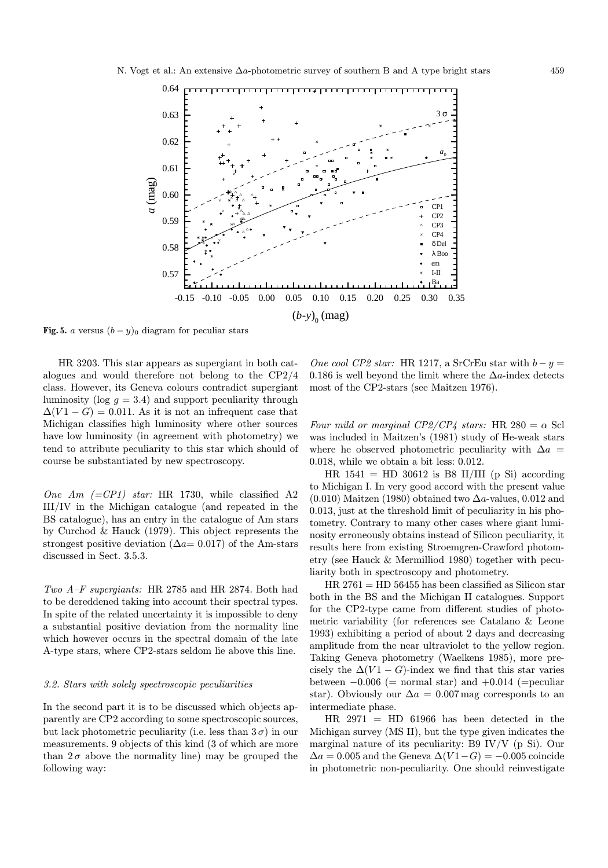

Fig. 5. a versus  $(b - y)_0$  diagram for peculiar stars

HR 3203. This star appears as supergiant in both catalogues and would therefore not belong to the CP2/4 class. However, its Geneva colours contradict supergiant luminosity (log  $g = 3.4$ ) and support peculiarity through  $\Delta(V1-G)=0.011$ . As it is not an infrequent case that Michigan classifies high luminosity where other sources have low luminosity (in agreement with photometry) we tend to attribute peculiarity to this star which should of course be substantiated by new spectroscopy.

One Am  $(=CP1)$  star: HR 1730, while classified A2 III/IV in the Michigan catalogue (and repeated in the BS catalogue), has an entry in the catalogue of Am stars by Curchod & Hauck (1979). This object represents the strongest positive deviation ( $\Delta a=0.017$ ) of the Am-stars discussed in Sect. 3.5.3.

Two A–F supergiants: HR 2785 and HR 2874. Both had to be dereddened taking into account their spectral types. In spite of the related uncertainty it is impossible to deny a substantial positive deviation from the normality line which however occurs in the spectral domain of the late A-type stars, where CP2-stars seldom lie above this line.

#### 3.2. Stars with solely spectroscopic peculiarities

In the second part it is to be discussed which objects apparently are CP2 according to some spectroscopic sources, but lack photometric peculiarity (i.e. less than  $3\sigma$ ) in our measurements. 9 objects of this kind (3 of which are more than  $2\sigma$  above the normality line) may be grouped the following way:

One cool CP2 star: HR 1217, a SrCrEu star with  $b - y =$ 0.186 is well beyond the limit where the  $\Delta a$ -index detects most of the CP2-stars (see Maitzen 1976).

Four mild or marginal CP2/CP4 stars: HR 280 =  $\alpha$  Scl was included in Maitzen's (1981) study of He-weak stars where he observed photometric peculiarity with  $\Delta a$  = 0.018, while we obtain a bit less: 0.012.

HR  $1541 =$  HD 30612 is B8 II/III (p Si) according to Michigan I. In very good accord with the present value (0.010) Maitzen (1980) obtained two  $\Delta a$ -values, 0.012 and 0.013, just at the threshold limit of peculiarity in his photometry. Contrary to many other cases where giant luminosity erroneously obtains instead of Silicon peculiarity, it results here from existing Stroemgren-Crawford photometry (see Hauck & Mermilliod 1980) together with peculiarity both in spectroscopy and photometry.

 $HR 2761 = HD 56455$  has been classified as Silicon star both in the BS and the Michigan II catalogues. Support for the CP2-type came from different studies of photometric variability (for references see Catalano & Leone 1993) exhibiting a period of about 2 days and decreasing amplitude from the near ultraviolet to the yellow region. Taking Geneva photometry (Waelkens 1985), more precisely the  $\Delta(V1 - G)$ -index we find that this star varies between  $-0.006$  (= normal star) and  $+0.014$  (= peculiar star). Obviously our  $\Delta a = 0.007$  mag corresponds to an intermediate phase.

 $HR$  2971 = HD 61966 has been detected in the Michigan survey (MS II), but the type given indicates the marginal nature of its peculiarity: B9 IV/V (p Si). Our  $\Delta a = 0.005$  and the Geneva  $\Delta (V1 - G) = -0.005$  coincide in photometric non-peculiarity. One should reinvestigate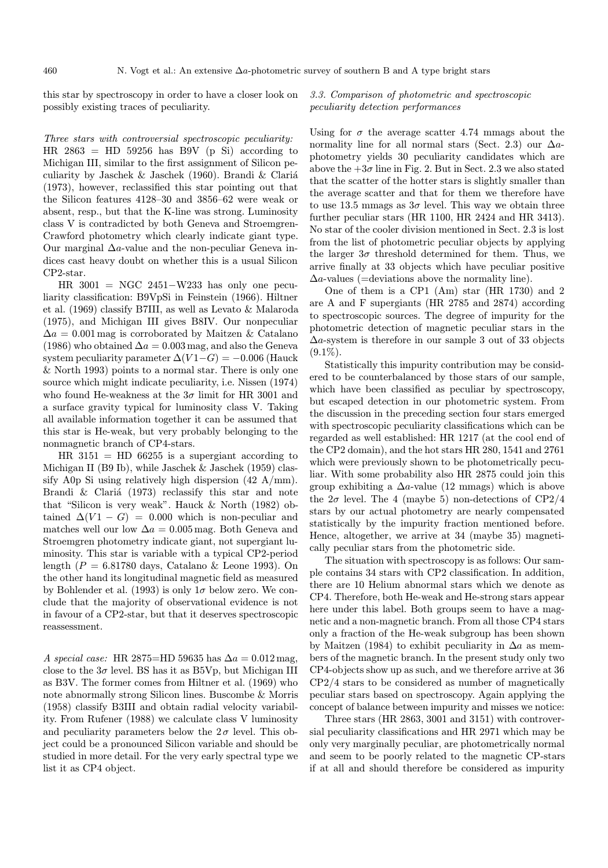this star by spectroscopy in order to have a closer look on possibly existing traces of peculiarity.

3.3. Comparison of photometric and spectroscopic peculiarity detection performances

Three stars with controversial spectroscopic peculiarity: HR  $2863 =$  HD 59256 has B9V (p Si) according to Michigan III, similar to the first assignment of Silicon peculiarity by Jaschek & Jaschek (1960). Brandi & Clariá (1973), however, reclassified this star pointing out that the Silicon features 4128–30 and 3856–62 were weak or absent, resp., but that the K-line was strong. Luminosity class V is contradicted by both Geneva and Stroemgren-Crawford photometry which clearly indicate giant type. Our marginal  $\Delta a$ -value and the non-peculiar Geneva indices cast heavy doubt on whether this is a usual Silicon CP2-star.

HR 3001 = NGC 2451−W233 has only one peculiarity classification: B9VpSi in Feinstein (1966). Hiltner et al. (1969) classify B7III, as well as Levato & Malaroda (1975), and Michigan III gives B8IV. Our nonpeculiar  $\Delta a = 0.001$  mag is corroborated by Maitzen & Catalano (1986) who obtained  $\Delta a = 0.003$  mag, and also the Geneva system peculiarity parameter  $\Delta (V1-G) = -0.006$  (Hauck & North 1993) points to a normal star. There is only one source which might indicate peculiarity, i.e. Nissen (1974) who found He-weakness at the  $3\sigma$  limit for HR 3001 and a surface gravity typical for luminosity class V. Taking all available information together it can be assumed that this star is He-weak, but very probably belonging to the nonmagnetic branch of CP4-stars.

HR  $3151 =$  HD 66255 is a supergiant according to Michigan II (B9 Ib), while Jaschek & Jaschek (1959) classify A0p Si using relatively high dispersion (42 A/mm). Brandi  $\&$  Clariá (1973) reclassify this star and note that "Silicon is very weak". Hauck & North (1982) obtained  $\Delta(V1 - G) = 0.000$  which is non-peculiar and matches well our low  $\Delta a = 0.005$  mag. Both Geneva and Stroemgren photometry indicate giant, not supergiant luminosity. This star is variable with a typical CP2-period length ( $P = 6.81780$  days, Catalano & Leone 1993). On the other hand its longitudinal magnetic field as measured by Bohlender et al. (1993) is only  $1\sigma$  below zero. We conclude that the majority of observational evidence is not in favour of a CP2-star, but that it deserves spectroscopic reassessment.

A special case: HR 2875=HD 59635 has  $\Delta a = 0.012$  mag, close to the  $3\sigma$  level. BS has it as B5Vp, but Michigan III as B3V. The former comes from Hiltner et al. (1969) who note abnormally strong Silicon lines. Buscombe & Morris (1958) classify B3III and obtain radial velocity variability. From Rufener (1988) we calculate class V luminosity and peculiarity parameters below the  $2\sigma$  level. This object could be a pronounced Silicon variable and should be studied in more detail. For the very early spectral type we list it as CP4 object.

Using for  $\sigma$  the average scatter 4.74 mmags about the normality line for all normal stars (Sect. 2.3) our  $\Delta a$ photometry yields 30 peculiarity candidates which are above the  $+3\sigma$  line in Fig. 2. But in Sect. 2.3 we also stated that the scatter of the hotter stars is slightly smaller than the average scatter and that for them we therefore have to use 13.5 mmags as  $3\sigma$  level. This way we obtain three further peculiar stars (HR 1100, HR 2424 and HR 3413). No star of the cooler division mentioned in Sect. 2.3 is lost from the list of photometric peculiar objects by applying the larger  $3\sigma$  threshold determined for them. Thus, we arrive finally at 33 objects which have peculiar positive  $\Delta a$ -values (=deviations above the normality line).

One of them is a CP1 (Am) star (HR 1730) and 2 are A and F supergiants (HR 2785 and 2874) according to spectroscopic sources. The degree of impurity for the photometric detection of magnetic peculiar stars in the  $\Delta a$ -system is therefore in our sample 3 out of 33 objects  $(9.1\%)$ .

Statistically this impurity contribution may be considered to be counterbalanced by those stars of our sample, which have been classified as peculiar by spectroscopy, but escaped detection in our photometric system. From the discussion in the preceding section four stars emerged with spectroscopic peculiarity classifications which can be regarded as well established: HR 1217 (at the cool end of the CP2 domain), and the hot stars HR 280, 1541 and 2761 which were previously shown to be photometrically peculiar. With some probability also HR 2875 could join this group exhibiting a  $\Delta a$ -value (12 mmags) which is above the  $2\sigma$  level. The 4 (maybe 5) non-detections of CP2/4 stars by our actual photometry are nearly compensated statistically by the impurity fraction mentioned before. Hence, altogether, we arrive at 34 (maybe 35) magnetically peculiar stars from the photometric side.

The situation with spectroscopy is as follows: Our sample contains 34 stars with CP2 classification. In addition, there are 10 Helium abnormal stars which we denote as CP4. Therefore, both He-weak and He-strong stars appear here under this label. Both groups seem to have a magnetic and a non-magnetic branch. From all those CP4 stars only a fraction of the He-weak subgroup has been shown by Maitzen (1984) to exhibit peculiarity in  $\Delta a$  as members of the magnetic branch. In the present study only two CP4-objects show up as such, and we therefore arrive at 36 CP2/4 stars to be considered as number of magnetically peculiar stars based on spectroscopy. Again applying the concept of balance between impurity and misses we notice:

Three stars (HR 2863, 3001 and 3151) with controversial peculiarity classifications and HR 2971 which may be only very marginally peculiar, are photometrically normal and seem to be poorly related to the magnetic CP-stars if at all and should therefore be considered as impurity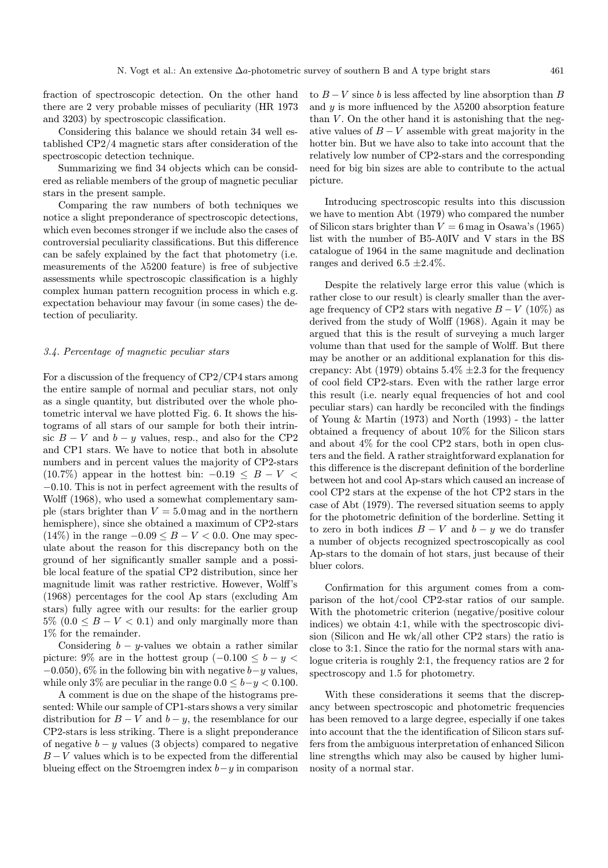fraction of spectroscopic detection. On the other hand there are 2 very probable misses of peculiarity (HR 1973 and 3203) by spectroscopic classification.

Considering this balance we should retain 34 well established CP2/4 magnetic stars after consideration of the spectroscopic detection technique.

Summarizing we find 34 objects which can be considered as reliable members of the group of magnetic peculiar stars in the present sample.

Comparing the raw numbers of both techniques we notice a slight preponderance of spectroscopic detections, which even becomes stronger if we include also the cases of controversial peculiarity classifications. But this difference can be safely explained by the fact that photometry (i.e. measurements of the  $\lambda$ 5200 feature) is free of subjective assessments while spectroscopic classification is a highly complex human pattern recognition process in which e.g. expectation behaviour may favour (in some cases) the detection of peculiarity.

#### 3.4. Percentage of magnetic peculiar stars

For a discussion of the frequency of CP2/CP4 stars among the entire sample of normal and peculiar stars, not only as a single quantity, but distributed over the whole photometric interval we have plotted Fig. 6. It shows the histograms of all stars of our sample for both their intrinsic  $B - V$  and  $b - y$  values, resp., and also for the CP2 and CP1 stars. We have to notice that both in absolute numbers and in percent values the majority of CP2-stars  $(10.7\%)$  appear in the hottest bin:  $-0.19 \leq B - V$ −0.10. This is not in perfect agreement with the results of Wolff (1968), who used a somewhat complementary sample (stars brighter than  $V = 5.0$  mag and in the northern hemisphere), since she obtained a maximum of CP2-stars (14%) in the range  $-0.09 \leq B - V < 0.0$ . One may speculate about the reason for this discrepancy both on the ground of her significantly smaller sample and a possible local feature of the spatial CP2 distribution, since her magnitude limit was rather restrictive. However, Wolff's (1968) percentages for the cool Ap stars (excluding Am stars) fully agree with our results: for the earlier group  $5\%$   $(0.0 \leq B - V < 0.1)$  and only marginally more than 1% for the remainder.

Considering  $b - y$ -values we obtain a rather similar picture: 9% are in the hottest group  $(-0.100 \leq b - y <$  $-0.050$ , 6% in the following bin with negative  $b-y$  values, while only 3% are peculiar in the range  $0.0 \leq b-y \leq 0.100$ .

A comment is due on the shape of the histograms presented: While our sample of CP1-stars shows a very similar distribution for  $B - V$  and  $b - y$ , the resemblance for our CP2-stars is less striking. There is a slight preponderance of negative  $b - y$  values (3 objects) compared to negative  $B-V$  values which is to be expected from the differential blueing effect on the Stroemgren index  $b-y$  in comparison

to  $B - V$  since b is less affected by line absorption than B and  $\gamma$  is more influenced by the  $\lambda$ 5200 absorption feature than  $V$ . On the other hand it is astonishing that the negative values of  $B - V$  assemble with great majority in the hotter bin. But we have also to take into account that the relatively low number of CP2-stars and the corresponding need for big bin sizes are able to contribute to the actual picture.

Introducing spectroscopic results into this discussion we have to mention Abt (1979) who compared the number of Silicon stars brighter than  $V = 6$  mag in Osawa's (1965) list with the number of B5-A0IV and V stars in the BS catalogue of 1964 in the same magnitude and declination ranges and derived 6.5  $\pm 2.4\%$ .

Despite the relatively large error this value (which is rather close to our result) is clearly smaller than the average frequency of CP2 stars with negative  $B - V$  (10%) as derived from the study of Wolff (1968). Again it may be argued that this is the result of surveying a much larger volume than that used for the sample of Wolff. But there may be another or an additional explanation for this discrepancy: Abt (1979) obtains  $5.4\% \pm 2.3$  for the frequency of cool field CP2-stars. Even with the rather large error this result (i.e. nearly equal frequencies of hot and cool peculiar stars) can hardly be reconciled with the findings of Young & Martin (1973) and North (1993) - the latter obtained a frequency of about 10% for the Silicon stars and about 4% for the cool CP2 stars, both in open clusters and the field. A rather straightforward explanation for this difference is the discrepant definition of the borderline between hot and cool Ap-stars which caused an increase of cool CP2 stars at the expense of the hot CP2 stars in the case of Abt (1979). The reversed situation seems to apply for the photometric definition of the borderline. Setting it to zero in both indices  $B - V$  and  $b - y$  we do transfer a number of objects recognized spectroscopically as cool Ap-stars to the domain of hot stars, just because of their bluer colors.

Confirmation for this argument comes from a comparison of the hot/cool CP2-star ratios of our sample. With the photometric criterion (negative/positive colour indices) we obtain 4:1, while with the spectroscopic division (Silicon and He wk/all other CP2 stars) the ratio is close to 3:1. Since the ratio for the normal stars with analogue criteria is roughly 2:1, the frequency ratios are 2 for spectroscopy and 1.5 for photometry.

With these considerations it seems that the discrepancy between spectroscopic and photometric frequencies has been removed to a large degree, especially if one takes into account that the the identification of Silicon stars suffers from the ambiguous interpretation of enhanced Silicon line strengths which may also be caused by higher luminosity of a normal star.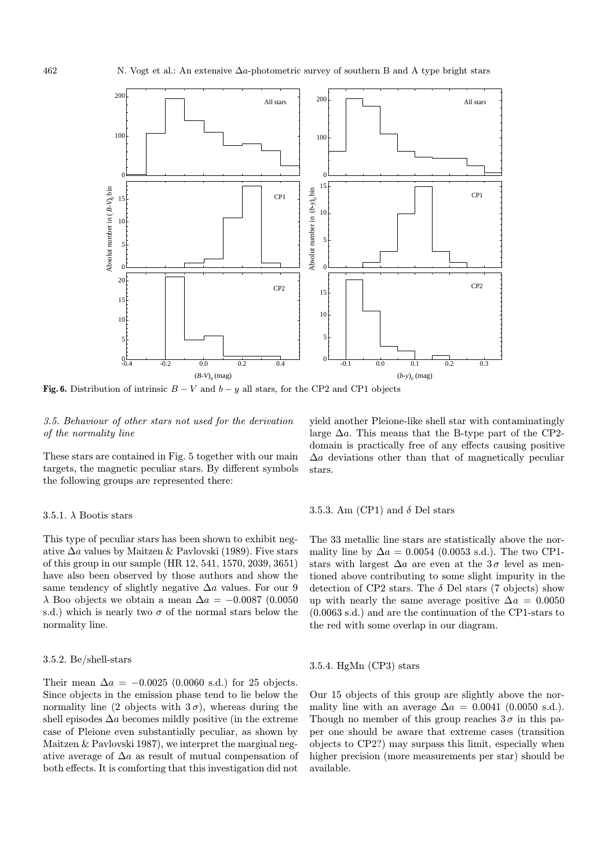

Fig. 6. Distribution of intrinsic  $B - V$  and  $b - y$  all stars, for the CP2 and CP1 objects

# 3.5. Behaviour of other stars not used for the derivation of the normality line

These stars are contained in Fig. 5 together with our main targets, the magnetic peculiar stars. By different symbols the following groups are represented there:

#### 3.5.1.  $\lambda$  Bootis stars

This type of peculiar stars has been shown to exhibit negative  $\Delta a$  values by Maitzen & Pavlovski (1989). Five stars of this group in our sample (HR 12, 541, 1570, 2039, 3651) have also been observed by those authors and show the same tendency of slightly negative  $\Delta a$  values. For our 9  $\lambda$  Boo objects we obtain a mean  $\Delta a = -0.0087$  (0.0050 s.d.) which is nearly two  $\sigma$  of the normal stars below the normality line.

#### 3.5.2. Be/shell-stars

Their mean  $\Delta a = -0.0025$  (0.0060 s.d.) for 25 objects. Since objects in the emission phase tend to lie below the normality line (2 objects with  $3\sigma$ ), whereas during the shell episodes  $\Delta a$  becomes mildly positive (in the extreme case of Pleione even substantially peculiar, as shown by Maitzen & Pavlovski 1987), we interpret the marginal negative average of  $\Delta a$  as result of mutual compensation of both effects. It is comforting that this investigation did not

yield another Pleione-like shell star with contaminatingly large  $\Delta a$ . This means that the B-type part of the CP2domain is practically free of any effects causing positive  $\Delta a$  deviations other than that of magnetically peculiar stars.

# 3.5.3. Am (CP1) and  $\delta$  Del stars

The 33 metallic line stars are statistically above the normality line by  $\Delta a = 0.0054$  (0.0053 s.d.). The two CP1stars with largest  $\Delta a$  are even at the 3σ level as mentioned above contributing to some slight impurity in the detection of CP2 stars. The  $\delta$  Del stars (7 objects) show up with nearly the same average positive  $\Delta a = 0.0050$ (0.0063 s.d.) and are the continuation of the CP1-stars to the red with some overlap in our diagram.

# 3.5.4. HgMn (CP3) stars

Our 15 objects of this group are slightly above the normality line with an average  $\Delta a = 0.0041$  (0.0050 s.d.). Though no member of this group reaches  $3\sigma$  in this paper one should be aware that extreme cases (transition objects to CP2?) may surpass this limit, especially when higher precision (more measurements per star) should be available.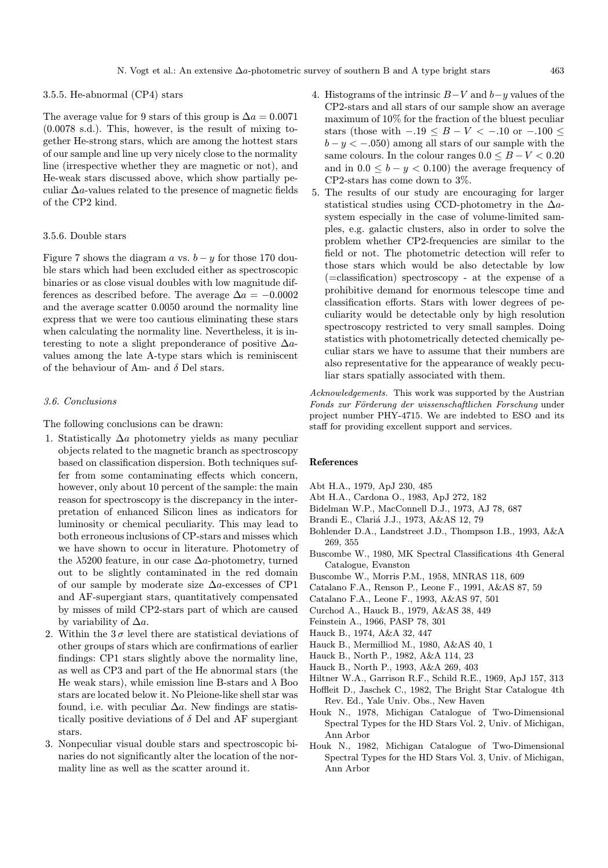#### 3.5.5. He-abnormal (CP4) stars

The average value for 9 stars of this group is  $\Delta a = 0.0071$ (0.0078 s.d.). This, however, is the result of mixing together He-strong stars, which are among the hottest stars of our sample and line up very nicely close to the normality line (irrespective whether they are magnetic or not), and He-weak stars discussed above, which show partially peculiar  $\Delta a$ -values related to the presence of magnetic fields of the CP2 kind.

#### 3.5.6. Double stars

Figure 7 shows the diagram a vs.  $b - y$  for those 170 double stars which had been excluded either as spectroscopic binaries or as close visual doubles with low magnitude differences as described before. The average  $\Delta a = -0.0002$ and the average scatter 0.0050 around the normality line express that we were too cautious eliminating these stars when calculating the normality line. Nevertheless, it is interesting to note a slight preponderance of positive  $\Delta a$ values among the late A-type stars which is reminiscent of the behaviour of Am- and  $\delta$  Del stars.

#### 3.6. Conclusions

The following conclusions can be drawn:

- 1. Statistically  $\Delta a$  photometry yields as many peculiar objects related to the magnetic branch as spectroscopy based on classification dispersion. Both techniques suffer from some contaminating effects which concern, however, only about 10 percent of the sample: the main reason for spectroscopy is the discrepancy in the interpretation of enhanced Silicon lines as indicators for luminosity or chemical peculiarity. This may lead to both erroneous inclusions of CP-stars and misses which we have shown to occur in literature. Photometry of the  $\lambda$ 5200 feature, in our case  $\Delta a$ -photometry, turned out to be slightly contaminated in the red domain of our sample by moderate size ∆a-excesses of CP1 and AF-supergiant stars, quantitatively compensated by misses of mild CP2-stars part of which are caused by variability of  $\Delta a$ .
- 2. Within the  $3\sigma$  level there are statistical deviations of other groups of stars which are confirmations of earlier findings: CP1 stars slightly above the normality line, as well as CP3 and part of the He abnormal stars (the He weak stars), while emission line B-stars and  $\lambda$  Boo stars are located below it. No Pleione-like shell star was found, i.e. with peculiar  $\Delta a$ . New findings are statistically positive deviations of  $\delta$  Del and AF supergiant stars.
- 3. Nonpeculiar visual double stars and spectroscopic binaries do not significantly alter the location of the normality line as well as the scatter around it.
- 4. Histograms of the intrinsic  $B-V$  and  $b-y$  values of the CP2-stars and all stars of our sample show an average maximum of 10% for the fraction of the bluest peculiar stars (those with  $-.19 \leq B - V < -.10$  or  $-.100 \leq$  $b - y < -0.050$  among all stars of our sample with the same colours. In the colour ranges  $0.0 \leq B - V \leq 0.20$ and in  $0.0 \leq b - y < 0.100$  the average frequency of CP2-stars has come down to 3%.
- 5. The results of our study are encouraging for larger statistical studies using CCD-photometry in the  $\Delta a$ system especially in the case of volume-limited samples, e.g. galactic clusters, also in order to solve the problem whether CP2-frequencies are similar to the field or not. The photometric detection will refer to those stars which would be also detectable by low (=classification) spectroscopy - at the expense of a prohibitive demand for enormous telescope time and classification efforts. Stars with lower degrees of peculiarity would be detectable only by high resolution spectroscopy restricted to very small samples. Doing statistics with photometrically detected chemically peculiar stars we have to assume that their numbers are also representative for the appearance of weakly peculiar stars spatially associated with them.

Acknowledgements. This work was supported by the Austrian Fonds zur Förderung der wissenschaftlichen Forschung under project number PHY-4715. We are indebted to ESO and its staff for providing excellent support and services.

#### References

- Abt H.A., 1979, ApJ 230, 485
- Abt H.A., Cardona O., 1983, ApJ 272, 182
- Bidelman W.P., MacConnell D.J., 1973, AJ 78, 687
- Brandi E., Clariá J.J., 1973, A&AS 12, 79
- Bohlender D.A., Landstreet J.D., Thompson I.B., 1993, A&A 269, 355
- Buscombe W., 1980, MK Spectral Classifications 4th General Catalogue, Evanston
- Buscombe W., Morris P.M., 1958, MNRAS 118, 609
- Catalano F.A., Renson P., Leone F., 1991, A&AS 87, 59
- Catalano F.A., Leone F., 1993, A&AS 97, 501
- Curchod A., Hauck B., 1979, A&AS 38, 449
- Feinstein A., 1966, PASP 78, 301
- Hauck B., 1974, A&A 32, 447
- Hauck B., Mermilliod M., 1980, A&AS 40, 1
- Hauck B., North P., 1982, A&A 114, 23
- Hauck B., North P., 1993, A&A 269, 403
- Hiltner W.A., Garrison R.F., Schild R.E., 1969, ApJ 157, 313
- Hoffleit D., Jaschek C., 1982, The Bright Star Catalogue 4th Rev. Ed., Yale Univ. Obs., New Haven
- Houk N., 1978, Michigan Catalogue of Two-Dimensional Spectral Types for the HD Stars Vol. 2, Univ. of Michigan, Ann Arbor
- Houk N., 1982, Michigan Catalogue of Two-Dimensional Spectral Types for the HD Stars Vol. 3, Univ. of Michigan, Ann Arbor